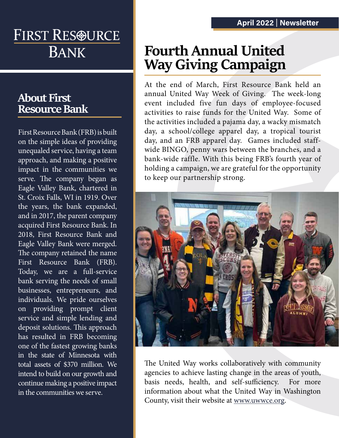# FIRST RES®URCE **BANK**

## **About First Resource Bank**

First Resource Bank (FRB) is built on the simple ideas of providing unequaled service, having a team approach, and making a positive impact in the communities we serve. The company began as Eagle Valley Bank, chartered in St. Croix Falls, WI in 1919. Over the years, the bank expanded, and in 2017, the parent company acquired First Resource Bank. In 2018, First Resource Bank and Eagle Valley Bank were merged. The company retained the name First Resource Bank (FRB). Today, we are a full-service bank serving the needs of small businesses, entrepreneurs, and individuals. We pride ourselves on providing prompt client service and simple lending and deposit solutions. This approach has resulted in FRB becoming one of the fastest growing banks in the state of Minnesota with total assets of \$370 million. We intend to build on our growth and continue making a positive impact in the communities we serve.

## **Fourth Annual United Way Giving Campaign**

At the end of March, First Resource Bank held an annual United Way Week of Giving. The week-long event included five fun days of employee-focused activities to raise funds for the United Way. Some of the activities included a pajama day, a wacky mismatch day, a school/college apparel day, a tropical tourist day, and an FRB apparel day. Games included staffwide BINGO, penny wars between the branches, and a bank-wide raffle. With this being FRB's fourth year of holding a campaign, we are grateful for the opportunity to keep our partnership strong.



The United Way works collaboratively with community agencies to achieve lasting change in the areas of youth, basis needs, health, and self-sufficiency. For more information about what the United Way in Washington County, visit their website at www.uwwce.org.